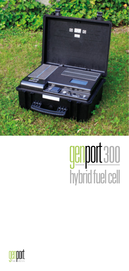

# genport 300<br>hybrid fuel cell

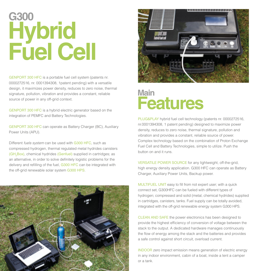# **G300 Hybrid Fuel Cell**

GENPORT 300 HFC is a portable fuel cell system (patents nr. 0000272516, nr. 0001394308, 1patent pending) with a versatile design, it maximizes power density, reduces to zero noise, thermal signature, pollution, vibration and provides a constant, reliable source of power in any off-grid context.

GENPORT 300 HFC is a hybrid electric generator based on the integration of PEMFC and Battery Technologies.

GENPORT 300 HFC can operate as Battery Charger (BC), Auxiliary Power Units (APU).

Different *fuels system* can be used with G300 HFC, such as compressed hydrogen, thermal regulated metal hydrides canisters (GH<sub>2</sub>Box), chemical hydrides (Genfuel) supplied in cartridges; as an alternative, in order to solve definitely logistic problems for the delivery and refilling of the fuel, G300 HFC can be integrated with the off-grid renewable solar system G300 HPS.





## **Main Features**

PLUG&PLAY hybrid fuel cell technology (patents nr. 0000272516, nr.0001394308, 1 patent pending) designed to maximize power density, reduces to zero noise, thermal signature, pollution and vibration and provides a constant, reliable source of power. Complex technology based on the combination of Proton Exchange Fuel Cell and Battery Technologies, simple to utilize. Push the button on and it runs.

VERSATILE POWER SOURCE for any lightweight, off-the-grid, high energy density application. G300 HFC can operate as Battery Charger, Auxiliary Power Units, Backup power.

MULTIFUEL UNIT easy to fill from not expert user; with a quick connect set, G300HFC can be fueled with different types of hydrogen; compressed and solid (metal, chemical hydrides) supplied in cartridges, canisters, tanks. Fuel supply can be totally avoided, integrated with the off-grid renewable energy system G300 HPS.

CLEAN AND SAFE the power electronics has been designed to provide the highest efficiency of conversion of voltage between the stack to the output. A dedicated hardware manages continuously the flow of energy among the stack and the batteries and provides a safe control against short circuit, overload current.

INDOOR zero impact emission means generation of electric energy in any indoor environment, cabin of a boat, inside a tent a camper or a tank.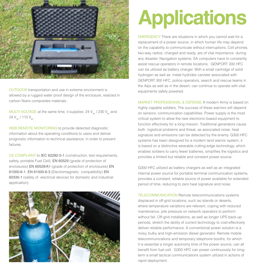

OUTDOOR transportation and use in extreme environment is allowed by a rugged water proof design of the enclosure, realized in carbon fibers composites materials.

MULTI-VOLTAGE at the same time, it supplies: 24  $V_{dc}$  / 230  $V_{ac}$  and 24  $V_{\text{dc}}$  / 110  $V_{\text{ac}}$ .

WEB REMOTE MONITORING to provide detected diagnostic information about the operating conditions to users and deliver prognostic information to technical assistance, in order to prevent failures.

CE COMPLIANT to IEC 62282-5-1 (construction, test requirements, safety, portable Fuel Cell), EN 60529 (grade of protection of enclosures) EN 60529/A1 (grade of protection of enclosures) EN 61000-6-1, EN 61000-6-3 (Electromagnetic compatibility) EN 60335-1 (safety of electrical devices for domestic and industrial application).



# **Applications**

EMERGENCY There are situations in which you cannot wait for a replacement of a power source, in which human life may depend on the capability to communicate without interruptions. Cell phones, two-way radios, charged and ready, are of vital importance during any disaster. Navigation systems, SA computers have to constantly assist rescue operators in remote locations. GENPORT 300 HFC can be utilized as battery charger. With a small cartridge of solid hydrogen as well as metal hydrides canister associated with GENPORT 300 HFC, police operators, search and rescue teams in the Alps as well as in the desert, can continue to operate with vital equipments safely powered.

MARKET PROFESSIONAL & DEFENSE A modern Army is based on highly capable soldiers. The success of these warriors will depend on sensors, communication capabilities. Power supply is the most critical system to allow the new electronic-based equipment to function effectively for a long mission. Traditional generators cause both logistical problems and threat, as associated noise, heat signature and emissions can be detected by the enemy. G300 HFC systems has been designed for a modern land warrior system; it is based on a distinctive wearable cutting-edge technology, which enables soldiers to carry fewer batteries, simplifies the logistics and provides a limited but reliable and constant power source.

G300 HFC utilized as battery chargers as well as an integrated internal power source for portable terminal communication systems, provides a constant, reliable source of power available for extended period of time, reducing to zero heat signature and noise.

TELECOMMUNICATION Remote telecommunications systems displaced in off-grid locations, such as islands or deserts, where temperature variations are relevant, coping with reduced maintenance, pile pressure on network operators to perform without fail. Off-grid installations, as well as longer UPS back-up periods, stretch the ability of current technology to cost-effectively deliver reliable performance. A conventional power solution is a noisy, bulky and high-emission diesel generator. Remote mobile telecommunications and temporary telephone booths, for which it is essential a longer autonomy time of the power source, can all benefit from fuel cell. G300 HFC can power continuously for longterm a small tactical communications system utilized in actions of rapid deployment.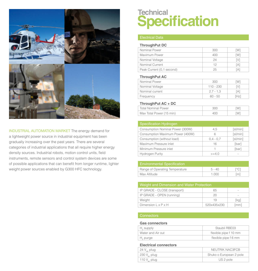

INDUSTRIAL AUTOMATION MARKET The energy demand for a lightweight power source in industrial equipment has been gradually increasing over the past years. There are several categories of industrial applications that all require higher energy density sources. Industrial robots, motion control units, field instruments, remote sensors and control system devices are some of possible applications that can benefit from longer runtime, lighter weight power sources enabled by G300 HFC technology.

### **Technical Specification**

#### Electrical Data

#### **ThroughPut DC**

| Nominal Power             | 300 | W1 |
|---------------------------|-----|----|
| Maximum Power             | 400 | W1 |
| Nominal Voltage           | 24  | V  |
| Nominal Current           | 12  | A  |
| Peak Current (0,1 second) | 25  | А  |

#### **ThroughPut AC**

| Nominal Power   | 300         | W1  |
|-----------------|-------------|-----|
| Nominal Voltage | $110 - 230$ | V   |
| Nominal current | $2.7 - 1.3$ | I A |
| Frequency       | $60 - 50$   | Hz1 |

#### **ThroughPut AC + DC**

| Total Nominal Power      | 300 | W. |
|--------------------------|-----|----|
| Max Total Power (15 min) | 400 | W. |
|                          |     |    |

| <b>Specification Hydrogen</b>    |             |          |
|----------------------------------|-------------|----------|
| Consumption Nominal Power (300W) | 4.5         | [s]/min] |
| Consumption Maximum Power (400W) | 6           | [s]/min] |
| Consumption (without load)       | $0.4 - 0.7$ | [s]/min] |
| Maximum Pressure inlet           | 16          | [bar]    |
| Minimum Pressure inlet           |             | [bar]    |
| <b>Hydrogen Purity</b>           | $>= 40$     |          |

| <b>Environmental Specification</b> |          |      |
|------------------------------------|----------|------|
| Range of Operating Temperature     | $5 - 40$ | Loc1 |
| Max Altitude                       | 1.000    | [m]  |

| Weight and Dimension and Water Protection |             |        |
|-------------------------------------------|-------------|--------|
| IP GRADE - CLOSE (transport)              | 65          | $\sim$ |
| IP GRADE - OPEN (running)                 | 20          | $\sim$ |
| Weight                                    | 19          | [ka]   |
| Dimension $L \times P \times H$           | 520x435x230 | mm1    |

#### **Gas connectors**

| $H2$ supply       | Staubli RBE03         |
|-------------------|-----------------------|
| Water and Air out | flexible pipe f 10 mm |
| $H2$ purge        | flexible pipe f 6 mm  |

#### **Electrical connectors**

| LICULIUAI UUIIIICUUI 3   |                         |
|--------------------------|-------------------------|
| 24 $V_{\text{obs}}$ plug | NEUTRIK NAC3FCB         |
| $230 V20$ plug           | Shuko o European 2 pole |
| 110 $V_{ac}$ plug        | US 2 pole               |
|                          |                         |